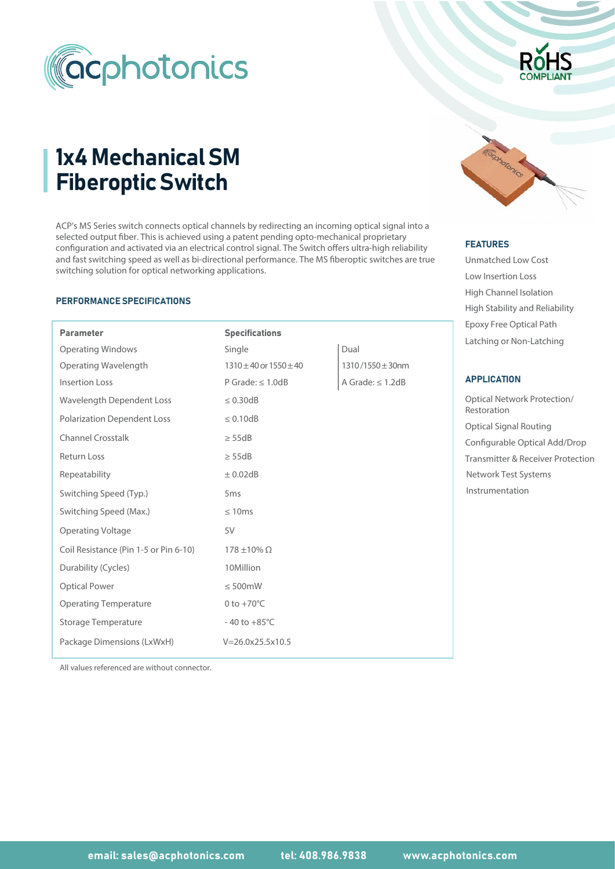

# 1x4 Mechanical SM Fiberoptic Switch

ACP's MS Series switch connects optical channels by redirecting an incoming optical signal into a selected output fiber. This is achieved using a patent pending opto-mechanical proprietary configuration and activated via an electrical control signal. The Switch offers ultra-high reliability and fast switching speed as well as bi-directional performance. The MS fiberoptic switches are true switching solution for optical networking applications.

#### PERFORMANCE SPECIFICATIONS

| <b>Parameter</b>                      | <b>Specifications</b>              |                       | LPOAY TTCC OPHCarl at the                       |  |
|---------------------------------------|------------------------------------|-----------------------|-------------------------------------------------|--|
| <b>Operating Windows</b>              | Single                             | Dual                  | Latching or Non-Latching                        |  |
| <b>Operating Wavelength</b>           | $1310 \pm 40$ or $1550 \pm 40$     | $1310/1550 \pm 30$ nm |                                                 |  |
| <b>Insertion Loss</b>                 | P Grade: $\leq$ 1.0dB              | A Grade: $\leq$ 1.2dB | <b>APPLICATION</b>                              |  |
| <b>Wavelength Dependent Loss</b>      | $\leq 0.30dB$                      |                       | <b>Optical Network Protectio</b><br>Restoration |  |
| <b>Polarization Dependent Loss</b>    | $\leq 0.10dB$                      |                       | <b>Optical Signal Routing</b>                   |  |
| <b>Channel Crosstalk</b>              | $\geq$ 55dB                        |                       | Configurable Optical Add                        |  |
| <b>Return Loss</b>                    | $\geq$ 55dB                        |                       | <b>Transmitter &amp; Receiver Pr</b>            |  |
| Repeatability                         | $\pm$ 0.02dB                       |                       | Network Test Systems                            |  |
| Switching Speed (Typ.)                | 5 <sub>ms</sub>                    |                       | Instrumentation                                 |  |
| Switching Speed (Max.)                | $\leq 10ms$                        |                       |                                                 |  |
| <b>Operating Voltage</b>              | 5V                                 |                       |                                                 |  |
| Coil Resistance (Pin 1-5 or Pin 6-10) | $178 \pm 10\%$ $\Omega$            |                       |                                                 |  |
| Durability (Cycles)                   | 10Million                          |                       |                                                 |  |
| <b>Optical Power</b>                  | $\leq 500$ mW                      |                       |                                                 |  |
| <b>Operating Temperature</b>          | 0 to $+70^{\circ}$ C               |                       |                                                 |  |
| Storage Temperature                   | $-40$ to $+85^{\circ}$ C           |                       |                                                 |  |
| Package Dimensions (LxWxH)            | $V = 26.0 \times 25.5 \times 10.5$ |                       |                                                 |  |
|                                       |                                    |                       |                                                 |  |

All values referenced are without connector.



# FEATURES FEATURES

Unmatched Low Cost Low Insertion Loss High Channel Isolation Epoxy Free Optical Path High Stability and Reliability

# APPLICATION

Optical Signal Routing Optical Network Protection/ Restoration Configurable Optical Add/Drop Transmitter & Receiver Protection Instrumentation Network Test Systems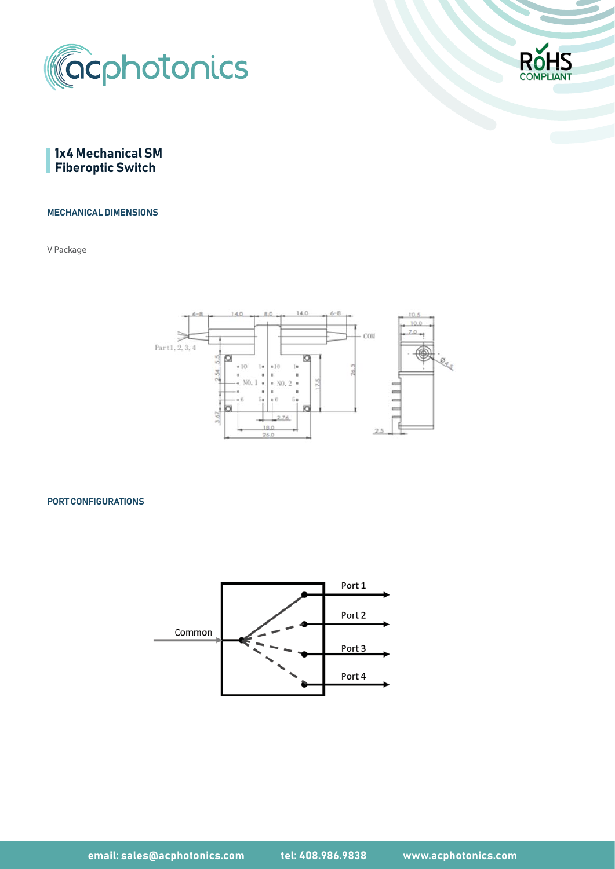





#### MECHANICAL DIMENSIONS

V Package



#### PORT CONFIGURATIONS